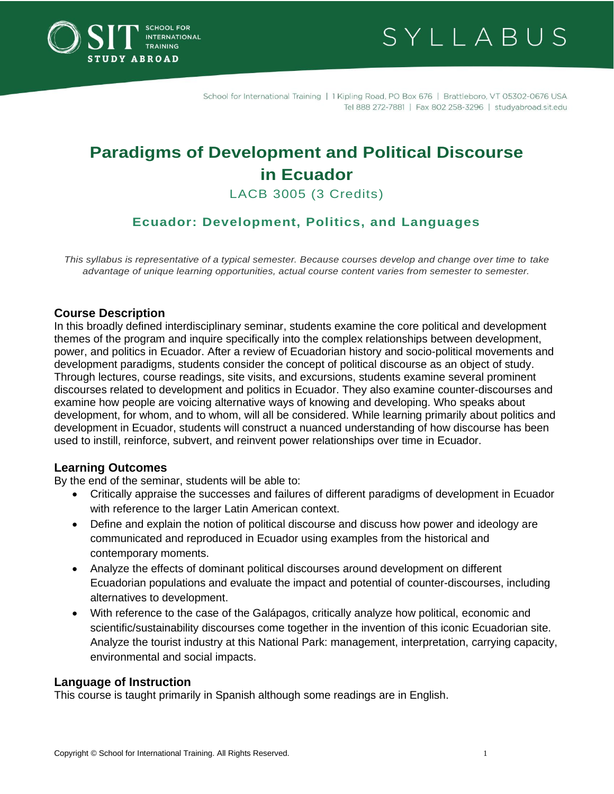

SYLLABUS

School for International Training | 1 Kipling Road, PO Box 676 | Brattleboro, VT 05302-0676 USA Tel 888 272-7881 | Fax 802 258-3296 | studyabroad.sit.edu

# **Paradigms of Development and Political Discourse in Ecuador**

LACB 3005 (3 Credits)

# **Ecuador: Development, Politics, and Languages**

*This syllabus is representative of a typical semester. Because courses develop and change over time to take advantage of unique learning opportunities, actual course content varies from semester to semester.*

#### **Course Description**

In this broadly defined interdisciplinary seminar, students examine the core political and development themes of the program and inquire specifically into the complex relationships between development, power, and politics in Ecuador. After a review of Ecuadorian history and socio-political movements and development paradigms, students consider the concept of political discourse as an object of study. Through lectures, course readings, site visits, and excursions, students examine several prominent discourses related to development and politics in Ecuador. They also examine counter-discourses and examine how people are voicing alternative ways of knowing and developing. Who speaks about development, for whom, and to whom, will all be considered. While learning primarily about politics and development in Ecuador, students will construct a nuanced understanding of how discourse has been used to instill, reinforce, subvert, and reinvent power relationships over time in Ecuador.

#### **Learning Outcomes**

By the end of the seminar, students will be able to:

- Critically appraise the successes and failures of different paradigms of development in Ecuador with reference to the larger Latin American context.
- Define and explain the notion of political discourse and discuss how power and ideology are communicated and reproduced in Ecuador using examples from the historical and contemporary moments.
- Analyze the effects of dominant political discourses around development on different Ecuadorian populations and evaluate the impact and potential of counter-discourses, including alternatives to development.
- With reference to the case of the Galápagos, critically analyze how political, economic and scientific/sustainability discourses come together in the invention of this iconic Ecuadorian site. Analyze the tourist industry at this National Park: management, interpretation, carrying capacity, environmental and social impacts.

#### **Language of Instruction**

This course is taught primarily in Spanish although some readings are in English.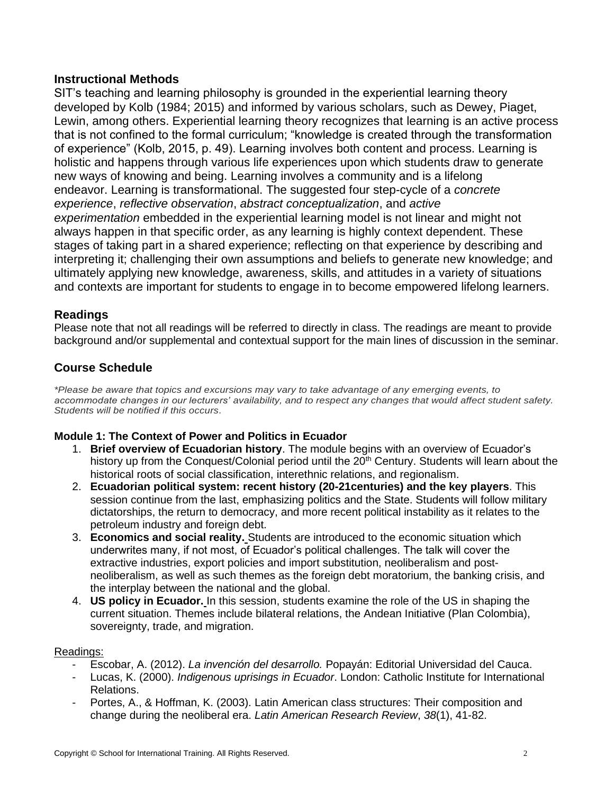## **Instructional Methods**

SIT's teaching and learning philosophy is grounded in the experiential learning theory developed by Kolb (1984; 2015) and informed by various scholars, such as Dewey, Piaget, Lewin, among others. Experiential learning theory recognizes that learning is an active process that is not confined to the formal curriculum; "knowledge is created through the transformation of experience" (Kolb, 2015, p. 49). Learning involves both content and process. Learning is holistic and happens through various life experiences upon which students draw to generate new ways of knowing and being. Learning involves a community and is a lifelong endeavor. Learning is transformational. The suggested four step-cycle of a *concrete experience*, *reflective observation*, *abstract conceptualization*, and *active experimentation* embedded in the experiential learning model is not linear and might not always happen in that specific order, as any learning is highly context dependent. These stages of taking part in a shared experience; reflecting on that experience by describing and interpreting it; challenging their own assumptions and beliefs to generate new knowledge; and ultimately applying new knowledge, awareness, skills, and attitudes in a variety of situations and contexts are important for students to engage in to become empowered lifelong learners.

## **Readings**

Please note that not all readings will be referred to directly in class. The readings are meant to provide background and/or supplemental and contextual support for the main lines of discussion in the seminar.

# **Course Schedule**

*\*Please be aware that topics and excursions may vary to take advantage of any emerging events, to accommodate changes in our lecturers' availability, and to respect any changes that would affect student safety. Students will be notified if this occurs.*

## **Module 1: The Context of Power and Politics in Ecuador**

- 1. **Brief overview of Ecuadorian history**. The module begins with an overview of Ecuador's history up from the Conquest/Colonial period until the 20<sup>th</sup> Century. Students will learn about the historical roots of social classification, interethnic relations, and regionalism.
- 2. **Ecuadorian political system: recent history (20-21centuries) and the key players**. This session continue from the last, emphasizing politics and the State. Students will follow military dictatorships, the return to democracy, and more recent political instability as it relates to the petroleum industry and foreign debt.
- 3. **Economics and social reality.** Students are introduced to the economic situation which underwrites many, if not most, of Ecuador's political challenges. The talk will cover the extractive industries, export policies and import substitution, neoliberalism and postneoliberalism, as well as such themes as the foreign debt moratorium, the banking crisis, and the interplay between the national and the global.
- 4. **US policy in Ecuador.** In this session, students examine the role of the US in shaping the current situation. Themes include bilateral relations, the Andean Initiative (Plan Colombia), sovereignty, trade, and migration.

#### Readings:

- Escobar, A. (2012). *La invención del desarrollo.* Popayán: Editorial Universidad del Cauca.
- Lucas, K. (2000). *Indigenous uprisings in Ecuador*. London: Catholic Institute for International Relations.
- Portes, A., & Hoffman, K. (2003). Latin American class structures: Their composition and change during the neoliberal era. *Latin American Research Review*, *38*(1), 41-82.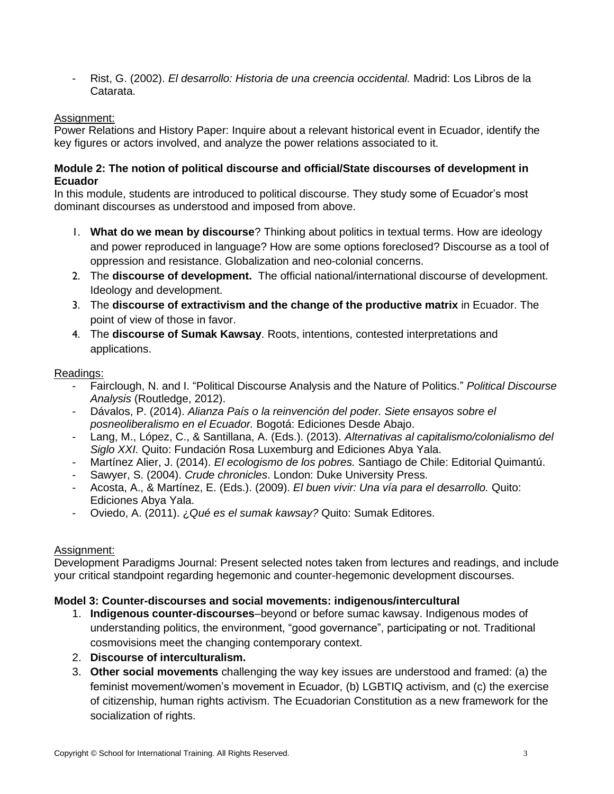- Rist, G. (2002). *El desarrollo: Historia de una creencia occidental.* Madrid: Los Libros de la Catarata.

## Assignment:

Power Relations and History Paper: Inquire about a relevant historical event in Ecuador, identify the key figures or actors involved, and analyze the power relations associated to it.

#### **Module 2: The notion of political discourse and official/State discourses of development in Ecuador**

In this module, students are introduced to political discourse. They study some of Ecuador's most dominant discourses as understood and imposed from above.

- 1. **What do we mean by discourse**? Thinking about politics in textual terms. How are ideology and power reproduced in language? How are some options foreclosed? Discourse as a tool of oppression and resistance. Globalization and neo-colonial concerns.
- 2. The **discourse of development.** The official national/international discourse of development. Ideology and development.
- 3. The **discourse of extractivism and the change of the productive matrix** in Ecuador. The point of view of those in favor.
- 4. The **discourse of Sumak Kawsay**. Roots, intentions, contested interpretations and applications.

#### Readings:

- Fairclough, N. and I. "Political Discourse Analysis and the Nature of Politics." *Political Discourse Analysis* (Routledge, 2012).
- Dávalos, P. (2014). *Alianza País o la reinvención del poder. Siete ensayos sobre el posneoliberalismo en el Ecuador.* Bogotá: Ediciones Desde Abajo.
- Lang, M., López, C., & Santillana, A. (Eds.). (2013). *Alternativas al capitalismo/colonialismo del Siglo XXI.* Quito: Fundación Rosa Luxemburg and Ediciones Abya Yala.
- Martínez Alier, J. (2014). *El ecologismo de los pobres.* Santiago de Chile: Editorial Quimantú.
- Sawyer, S. (2004). *Crude chronicles*. London: Duke University Press.
- Acosta, A., & Martínez, E. (Eds.). (2009). *El buen vivir: Una vía para el desarrollo.* Quito: Ediciones Abya Yala.
- Oviedo, A. (2011). ¿*Qué es el sumak kawsay?* Quito: Sumak Editores.

#### Assignment:

Development Paradigms Journal: Present selected notes taken from lectures and readings, and include your critical standpoint regarding hegemonic and counter-hegemonic development discourses.

#### **Model 3: Counter-discourses and social movements: indigenous/intercultural**

- 1. **Indigenous counter-discourses**–beyond or before sumac kawsay. Indigenous modes of understanding politics, the environment, "good governance", participating or not. Traditional cosmovisions meet the changing contemporary context.
- 2. **Discourse of interculturalism.**
- 3. **Other social movements** challenging the way key issues are understood and framed: (a) the feminist movement/women's movement in Ecuador, (b) LGBTIQ activism, and (c) the exercise of citizenship, human rights activism. The Ecuadorian Constitution as a new framework for the socialization of rights.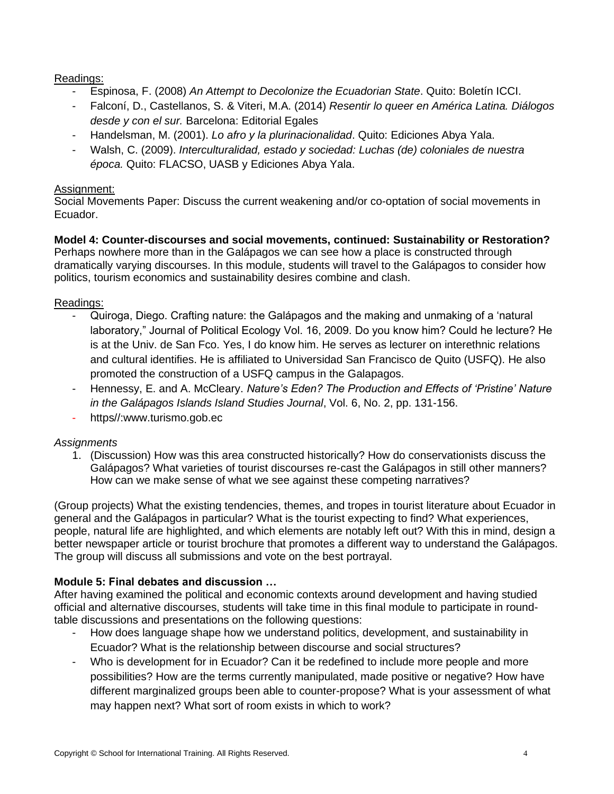Readings:

- Espinosa, F. (2008) *An Attempt to Decolonize the Ecuadorian State*. Quito: Boletín ICCI.
- Falconí, D., Castellanos, S. & Viteri, M.A. (2014) *Resentir lo queer en América Latina. Diálogos desde y con el sur.* Barcelona: Editorial Egales
- Handelsman, M. (2001). *Lo afro y la plurinacionalidad*. Quito: Ediciones Abya Yala.
- Walsh, C. (2009). *Interculturalidad, estado y sociedad: Luchas (de) coloniales de nuestra época.* Quito: FLACSO, UASB y Ediciones Abya Yala.

## Assignment:

Social Movements Paper: Discuss the current weakening and/or co-optation of social movements in Ecuador.

**Model 4: Counter-discourses and social movements, continued: Sustainability or Restoration?** Perhaps nowhere more than in the Galápagos we can see how a place is constructed through dramatically varying discourses. In this module, students will travel to the Galápagos to consider how politics, tourism economics and sustainability desires combine and clash.

## Readings:

- Quiroga, Diego. Crafting nature: the Galápagos and the making and unmaking of a 'natural laboratory," Journal of Political Ecology Vol. 16, 2009. Do you know him? Could he lecture? He is at the Univ. de San Fco. Yes, I do know him. He serves as lecturer on interethnic relations and cultural identifies. He is affiliated to Universidad San Francisco de Quito (USFQ). He also promoted the construction of a USFQ campus in the Galapagos.
- Hennessy, E. and A. McCleary. *Nature's Eden? The Production and Effects of 'Pristine' Nature in the Galápagos Islands Island Studies Journal*, Vol. 6, No. 2, pp. 131-156.
- https//:www.turismo.gob.ec

## *Assignments*

1. (Discussion) How was this area constructed historically? How do conservationists discuss the Galápagos? What varieties of tourist discourses re-cast the Galápagos in still other manners? How can we make sense of what we see against these competing narratives?

(Group projects) What the existing tendencies, themes, and tropes in tourist literature about Ecuador in general and the Galápagos in particular? What is the tourist expecting to find? What experiences, people, natural life are highlighted, and which elements are notably left out? With this in mind, design a better newspaper article or tourist brochure that promotes a different way to understand the Galápagos. The group will discuss all submissions and vote on the best portrayal.

## **Module 5: Final debates and discussion …**

After having examined the political and economic contexts around development and having studied official and alternative discourses, students will take time in this final module to participate in roundtable discussions and presentations on the following questions:

- How does language shape how we understand politics, development, and sustainability in Ecuador? What is the relationship between discourse and social structures?
- Who is development for in Ecuador? Can it be redefined to include more people and more possibilities? How are the terms currently manipulated, made positive or negative? How have different marginalized groups been able to counter-propose? What is your assessment of what may happen next? What sort of room exists in which to work?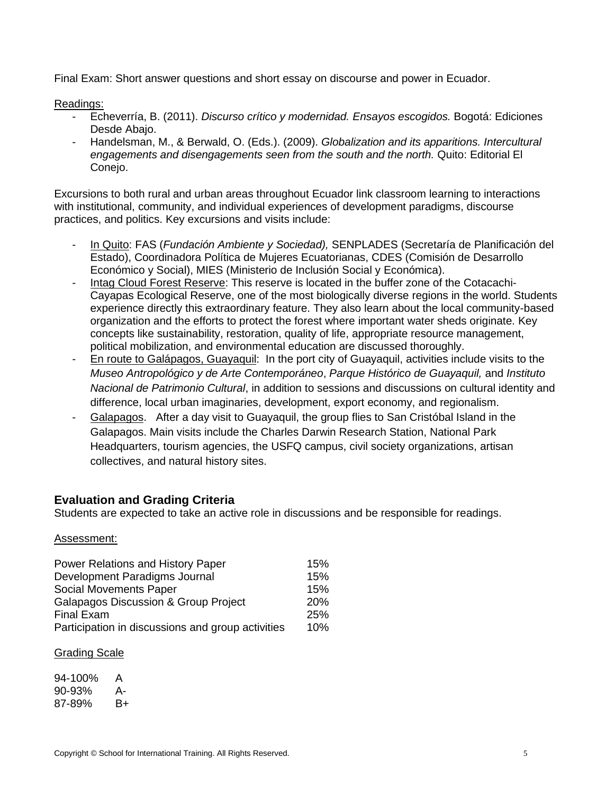Final Exam: Short answer questions and short essay on discourse and power in Ecuador.

#### Readings:

- Echeverría, B. (2011). *Discurso crítico y modernidad. Ensayos escogidos.* Bogotá: Ediciones Desde Abajo.
- Handelsman, M., & Berwald, O. (Eds.). (2009). *Globalization and its apparitions. Intercultural engagements and disengagements seen from the south and the north.* Quito: Editorial El Conejo.

Excursions to both rural and urban areas throughout Ecuador link classroom learning to interactions with institutional, community, and individual experiences of development paradigms, discourse practices, and politics. Key excursions and visits include:

- In Quito: FAS (*Fundación Ambiente y Sociedad),* SENPLADES (Secretaría de Planificación del Estado), Coordinadora Política de Mujeres Ecuatorianas, CDES (Comisión de Desarrollo Económico y Social), MIES (Ministerio de Inclusión Social y Económica).
- Intag Cloud Forest Reserve: This reserve is located in the buffer zone of the Cotacachi-Cayapas Ecological Reserve, one of the most biologically diverse regions in the world. Students experience directly this extraordinary feature. They also learn about the local community-based organization and the efforts to protect the forest where important water sheds originate. Key concepts like sustainability, restoration, quality of life, appropriate resource management, political mobilization, and environmental education are discussed thoroughly.
- En route to Galápagos, Guayaquil: In the port city of Guayaquil, activities include visits to the *Museo Antropológico y de Arte Contemporáneo*, *Parque Histórico de Guayaquil,* and *Instituto Nacional de Patrimonio Cultural*, in addition to sessions and discussions on cultural identity and difference, local urban imaginaries, development, export economy, and regionalism.
- Galapagos. After a day visit to Guayaquil, the group flies to San Cristóbal Island in the Galapagos. Main visits include the Charles Darwin Research Station, National Park Headquarters, tourism agencies, the USFQ campus, civil society organizations, artisan collectives, and natural history sites.

## **Evaluation and Grading Criteria**

Students are expected to take an active role in discussions and be responsible for readings.

#### Assessment:

| Power Relations and History Paper                 | 15%        |
|---------------------------------------------------|------------|
| Development Paradigms Journal                     | 15%        |
| Social Movements Paper                            | 15%        |
| <b>Galapagos Discussion &amp; Group Project</b>   | <b>20%</b> |
| <b>Final Exam</b>                                 | 25%        |
| Participation in discussions and group activities | 10%        |

#### Grading Scale

| 94-100% | А  |
|---------|----|
| 90-93%  | А- |
| 87-89%  | B+ |